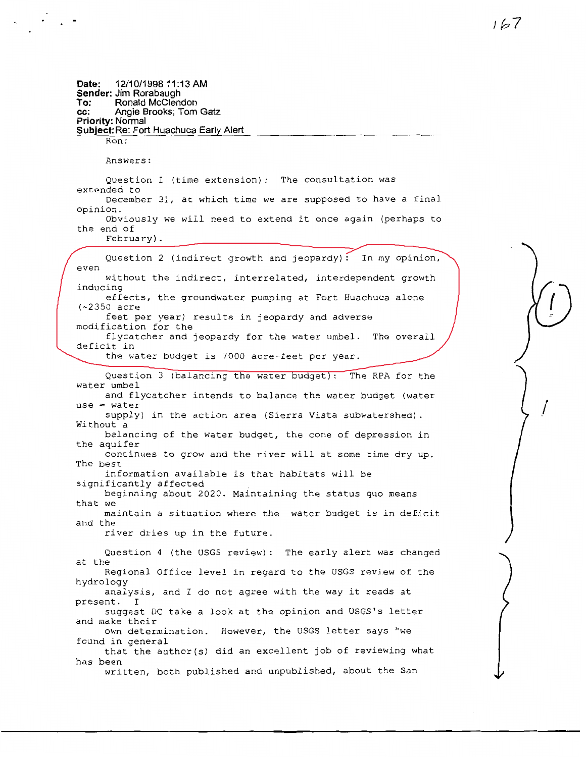**Date: 12/10/1998 11 :13 AM Sender: Jim Rorabaugh To: Ronald Mcclendon cc: Angie Brooks; Tom Gatz Priority: Normal Subject: Re: Fort Huachuca Early Alert**  Ron: Answers: Question 1 (time extension): The consultation was extended to December 31, at which time we are supposed to have a final opinion. Obviously we will need to extend it once again (perhaps to the end of February). Question 2 (indirect growth and jeopardy): In my opinion, even without the indirect, interrelated, interdependent growth inducing effects, the groundwater pumping at Fort Huachuca alone (~2350 acre feet per year) results in jeopardy and adverse modification for the flycatcher and jeopardy for the water umbel. The overall deficit in the water budget is 7000 acre-feet per year. Question 3 (balancing the water budget): The RPA for the water umbel and flycatcher intends to balance the water budget (water  $use = water$ supply) in the action area (Sierra Vista subwatershed). Without a balancing of the water budget, the cone of depression in the aquifer continues to grow and the river will at some time dry up. The best information available is that habitats will be significantly affected beginning about 2020. Maintaining the status quo means that we maintain a situation where the water budget is in deficit and the river dries up in the future. Question 4 (the USGS review): The early alert was changed at the Regional Office level in regard to the USGS review of the hydrology analysis, and I do not agree with the way it reads at present. I suggest DC take a look at the opinion and USGS's letter and make their own determination. However, the USGS letter says "we found in general that the author(s) did an excellent job of reviewing what has been written, both published and unpublished, about the San  $\binom{1}{k}$ /

 $161$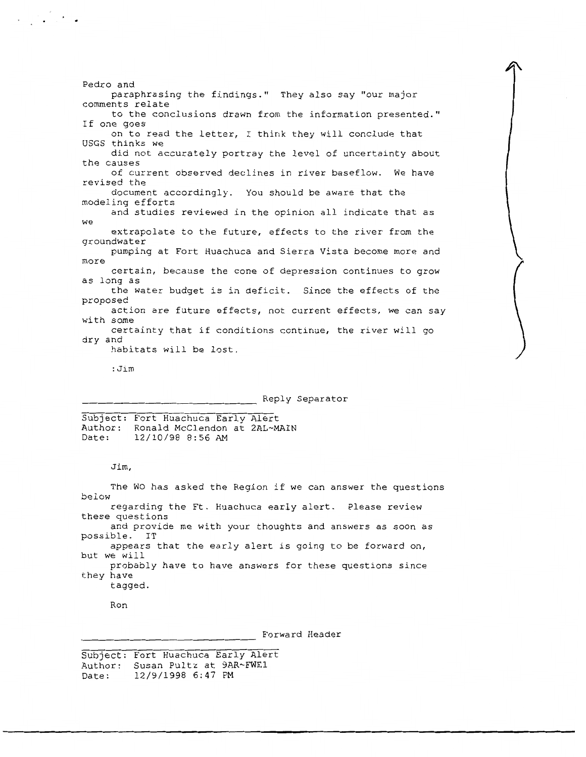Pedro and paraphrasing the findings." They also say "our major comments relate to the conclusions drawn from the information presented." If one goes on to read the letter, I think they will conclude that USGS thinks we did not accurately portray the level of uncertainty about the causes of current observed declines in river baseflow. We have revised the document accordingly. You should be aware that the modeling efforts and studies reviewed in the opinion all indicate that as **we**  extrapolate to the future, effects to the river from the groundwater pumping at Fort Huachuca and Sierra Vista become more and more certain, because the cone of depression continues to grow as long as the water budget is in deficit. Since the effects of the proposed action are future effects, not current effects, we can say with some certainty that if conditions continue, the river will go dry and habitats will be lost.

:Jim

 $\mathcal{L}_{\text{eff}}$  , and  $\mathcal{L}_{\text{eff}}$ 

Reply Separator

Subject: Fort Huachuca Early Alert Author: Ronald McClendon at 2AL~MAIN<br>Date: 12/10/98 8:56 AM Date: 12/10/98 8:56 AM

## Jim,

The WO has asked the Region if we can answer the questions below regarding the Ft. Huachuca early alert. Please review these questions and provide me with your thoughts and answers as soon as possible. IT appears that the early alert is going to be forward on, but we will probably have to have answers for these questions since they have tagged.

Ron

Forward Header

Subject: Fort Huachuca Early Alert Author: Susan Pultz at 9AR~FWE1 Date: 12/9/1998 6:47 PM